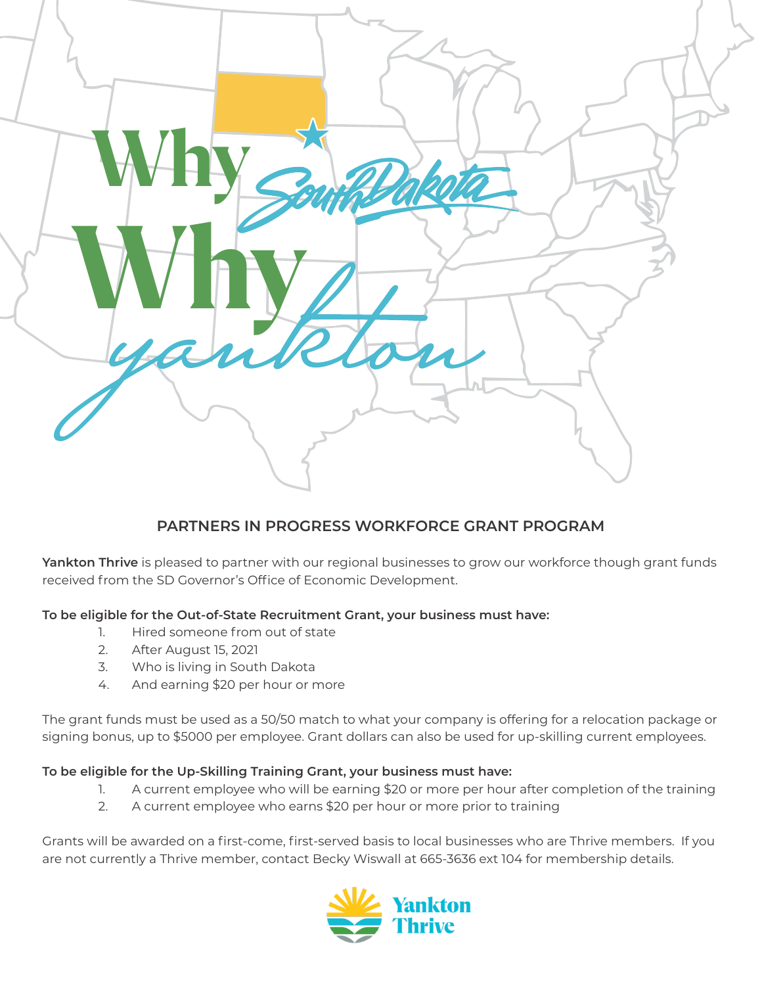

## **PARTNERS IN PROGRESS WORKFORCE GRANT PROGRAM**

**Yankton Thrive** is pleased to partner with our regional businesses to grow our workforce though grant funds received from the SD Governor's Office of Economic Development.

## **To be eligible for the Out-of-State Recruitment Grant, your business must have:**

- 1. Hired someone from out of state
- 2. After August 15, 2021
- 3. Who is living in South Dakota
- 4. And earning \$20 per hour or more

The grant funds must be used as a 50/50 match to what your company is offering for a relocation package or signing bonus, up to \$5000 per employee. Grant dollars can also be used for up-skilling current employees.

## **To be eligible for the Up-Skilling Training Grant, your business must have:**

- 1. A current employee who will be earning \$20 or more per hour after completion of the training
- 2. A current employee who earns \$20 per hour or more prior to training

Grants will be awarded on a first-come, first-served basis to local businesses who are Thrive members. If you are not currently a Thrive member, contact Becky Wiswall at 665-3636 ext 104 for membership details.